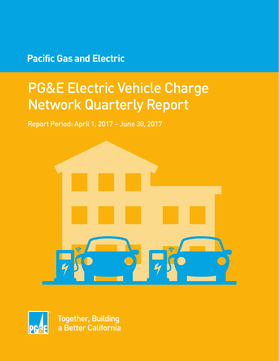## **Pacific Gas and Electric**

# PG&E Electric Vehicle Charge Network Quarterly Report

Report Period: April 1, 2017 – June 30, 2017





**Together, Building** a Better California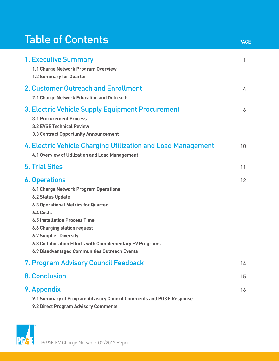## Table of Contents

| <b>1. Executive Summary</b><br>1.1 Charge Network Program Overview<br><b>1.2 Summary for Quarter</b>                                                                                                                                                                                                                                                                                     | 1  |
|------------------------------------------------------------------------------------------------------------------------------------------------------------------------------------------------------------------------------------------------------------------------------------------------------------------------------------------------------------------------------------------|----|
| 2. Customer Outreach and Enrollment<br>2.1 Charge Network Education and Outreach                                                                                                                                                                                                                                                                                                         | 4  |
| 3. Electric Vehicle Supply Equipment Procurement<br><b>3.1 Procurement Process</b><br><b>3.2 EVSE Technical Review</b><br>3.3 Contract Opportunity Announcement                                                                                                                                                                                                                          | 6  |
| 4. Electric Vehicle Charging Utilization and Load Management<br>4.1 Overview of Utilization and Load Management                                                                                                                                                                                                                                                                          | 10 |
| <b>5. Trial Sites</b>                                                                                                                                                                                                                                                                                                                                                                    | 11 |
| <b>6. Operations</b><br><b>6.1 Charge Network Program Operations</b><br><b>6.2 Status Update</b><br><b>6.3 Operational Metrics for Quarter</b><br>6.4 Costs<br><b>6.5 Installation Process Time</b><br><b>6.6 Charging station request</b><br><b>6.7 Supplier Diversity</b><br>6.8 Collaboration Efforts with Complementary EV Programs<br>6.9 Disadvantaged Communities Outreach Events | 12 |
| 7. Program Advisory Council Feedback                                                                                                                                                                                                                                                                                                                                                     | 14 |
| <b>8. Conclusion</b>                                                                                                                                                                                                                                                                                                                                                                     | 15 |
| 9. Appendix<br>9.1 Summary of Program Advisory Council Comments and PG&E Response<br>9.2 Direct Program Advisory Comments                                                                                                                                                                                                                                                                | 16 |

PAGE

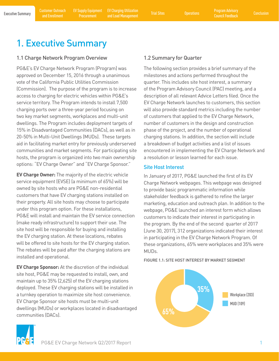Executive Summary Customer Outreach EV Supply Equipment EV Charging Utilization Trial Sites on Operations Program Advisory<br>Executive Summary and Encellment Programment and Lead Management Trial Sites Operations Council Enc EV Charging Utilization and Load Management Trial Sites Operations Program Advisory

## 1. Executive Summary

### 1.1 Charge Network Program Overview

PG&E's EV Charge Network Program (Program) was approved on December 15, 2016 through a unanimous vote of the California Public Utilities Commission (Commission). The purpose of the program is to increase access to charging for electric vehicles within PG&E's service territory. The Program intends to install 7,500 charging ports over a three-year period focusing on two key market segments, workplaces and multi-unit dwellings. The Program includes deployment targets of 15% in Disadvantaged Communities (DACs), as well as in 20-50% in Multi-Unit Dwellings (MUDs). These targets aid in facilitating market entry for previously underserved communities and market segments. For participating site hosts, the program is organized into two main ownership options: "EV Charge Owner" and "EV Charge Sponsor."

**EV Charge Owner:** The majority of the electric vehicle service equipment (EVSE) (a minimum of 65%) will be owned by site hosts who are PG&E non-residential customers that have EV charging stations installed on their property. All site hosts may choose to participate under this program option. For these installations, PG&E will install and maintain the EV service connection (make ready infrastructure) to support their use. The site host will be responsible for buying and installing the EV charging station. At these locations, rebates will be offered to site hosts for the EV charging station. The rebates will be paid after the charging stations are installed and operational.

**EV Charge Sponsor:** At the discretion of the individual site host, PG&E may be requested to install, own, and maintain up to 35% (2,625) of the EV charging stations deployed. These EV charging stations will be installed in a turnkey operation to maximize site host convenience. EV Charge Sponsor site hosts must be multi-unit dwellings (MUDs) or workplaces located in disadvantaged communities (DACs).

## 1.2 Summary for Quarter

The following section provides a brief summary of the milestones and actions performed throughout the quarter. This includes site host interest, a summary of the Program Advisory Council (PAC) meeting, and a description of all relevant Advice Letters filed. Once the EV Charge Network launches to customers, this section will also provide standard metrics including the number of customers that applied to the EV Charge Network, number of customers in the design and construction phase of the project, and the number of operational charging stations. In addition, the section will include a breakdown of budget activities and a list of issues encountered in implementing the EV Charge Network and a resolution or lesson learned for each issue.

### Site Host Interest

In January of 2017, PG&E launched the first of its EV Charge Network webpages. This webpage was designed to provide basic programmatic information while stakeholder feedback is gathered to refine the larger marketing, education and outreach plan. In addition to the webpage, PG&E launched an interest form which allows customers to indicate their interest in participating in the program. By the end of the second quarter of 2017 (June 30, 2017), 312 organizations indicated their interest in participating in the EV Charge Network Program. Of these organizations, 65% were workplaces and 35% were MUDs.

FIGURE 1.1: SITE HOST INTEREST BY MARKET SEGMENT



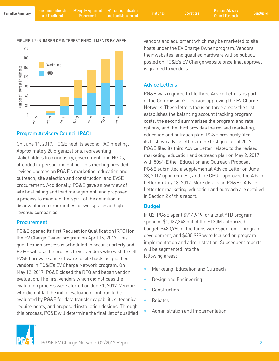#### FIGURE 1.2: NUMBER OF INTEREST ENROLLMENTS BY WEEK



## Program Advisory Council (PAC)

On June 14, 2017, PG&E held its second PAC meeting. Approximately 20 organizations, representing stakeholders from industry, government, and NGOs, attended in-person and online. This meeting provided revised updates on PG&E's marketing, education and outreach, site selection and construction, and EVSE procurement. Additionally, PG&E gave an overview of site host billing and load management, and proposed a process to maintain the 'spirit of the definition' of disadvantaged communities for workplaces of high revenue companies.

#### Procurement

PG&E opened its first Request for Qualification (RFQ) for the EV Charge Owner program on April 14, 2017. This qualification process is scheduled to occur quarterly and PG&E will use the process to vet vendors who wish to sell EVSE hardware and software to site hosts as qualified vendors in PG&E's EV Charge Network program. On May 12, 2017, PG&E closed the RFQ and began vendor evaluation. The first vendors which did not pass the evaluation process were alerted on June 1, 2017. Vendors who did not fail the initial evaluation continue to be evaluated by PG&E for data transfer capabilities, technical requirements, and proposed installation designs. Through this process, PG&E will determine the final list of qualified vendors and equipment which may be marketed to site hosts under the EV Charge Owner program. Vendors, their websites, and qualified hardware will be publicly posted on PG&E's EV Charge website once final approval is granted to vendors.

## Advice Letters

PG&E was required to file three Advice Letters as part of the Commission's Decision approving the EV Charge Network. These letters focus on three areas: the first establishes the balancing account tracking program costs, the second summarizes the program and rate options, and the third provides the revised marketing, education and outreach plan. PG&E previously filed its first two advice letters in the first quarter of 2017. PG&E filed its third Advice Letter related to the revised marketing, education and outreach plan on May 2, 2017 with 5064-E the "Education and Outreach Proposal". PG&E submitted a supplemental Advice Letter on June 28, 2017 upon request, and the CPUC approved the Advice Letter on July 13, 2017. More details on PG&E's Advice Letter for marketing, education and outreach are detailed in Section 2 of this report.

## Budget

In Q2, PG&E spent \$914,919 for a total YTD program spend of \$1,027,343 out of the \$130M authorized budget. \$483,990 of the funds were spent on IT program development, and \$430,929 were focused on program implementation and administration. Subsequent reports will be segmented into the following areas:

- Marketing, Education and Outreach
- Design and Engineering
- **Construction**
- **Rebates**
- Administration and Implementation

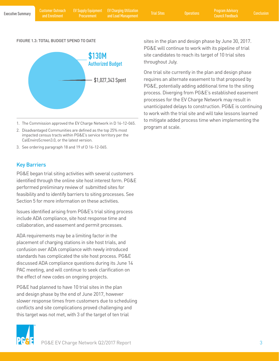EV Supply Equipment Procurement

EV Charging Utilization and Load Management Trial Sites Operations Program Advisory

#### FIGURE 1.3: TOTAL BUDGET SPEND TO DATE



- 1. The Commission approved the EV Charge Network in D 16-12-065.
- 2. Disadvantaged Communities are defined as the top 25% most impacted census tracts within PG&E's service territory per the CalEnviroScreen3.0, or the latest version.
- 3. See ordering paragraph 18 and 19 of D 16-12-065.

### Key Barriers

PG&E began trial siting activities with several customers identified through the online site host interest form. PG&E performed preliminary review of submitted sites for feasibility and to identify barriers to siting processes. See Section 5 for more information on these activities.

Issues identified arising from PG&E's trial siting process include ADA compliance, site host response time and collaboration, and easement and permit processes.

ADA requirements may be a limiting factor in the placement of charging stations in site host trials, and confusion over ADA compliance with newly introduced standards has complicated the site host process. PG&E discussed ADA compliance questions during its June 14 PAC meeting, and will continue to seek clarification on the effect of new codes on ongoing projects.

PG&E had planned to have 10 trial sites in the plan and design phase by the end of June 2017, however slower response times from customers due to scheduling conflicts and site complications proved challenging and this target was not met, with 3 of the target of ten trial



One trial site currently in the plan and design phase requires an alternate easement to that proposed by PG&E, potentially adding additional time to the siting process. Diverging from PG&E's established easement processes for the EV Charge Network may result in unanticipated delays to construction. PG&E is continuing to work with the trial site and will take lessons learned to mitigate added process time when implementing the program at scale.

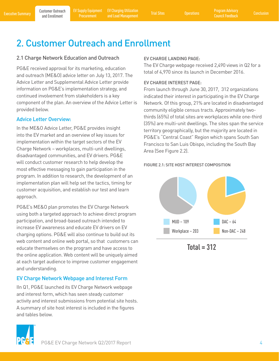**Procurement** 

Executive Summary Program Advisory (Customer Outreach EV Supply Equipment EV Charging Utilization Trial Sites o<br>Executive Summary and Enrollment Procurement and Load Management Trial Sites Operations Council Feedback Concl EV Charging Utilization and Load Management Trial Sites Operations Program Advisory

## 2. Customer Outreach and Enrollment

#### 2.1 Charge Network Education and Outreach

PG&E received approval for its marketing, education and outreach (ME&O) advice letter on July 13, 2017. The Advice Letter and Supplemental Advice Letter provide information on PG&E's implementation strategy, and continued involvement from stakeholders is a key component of the plan. An overview of the Advice Letter is provided below.

#### Advice Letter Overview:

In the ME&O Advice Letter, PG&E provides insight into the EV market and an overview of key issues for implementation within the target sectors of the EV Charge Network – workplaces, multi-unit dwellings, disadvantaged communities, and EV drivers. PG&E will conduct customer research to help develop the most effective messaging to gain participation in the program. In addition to research, the development of an implementation plan will help set the tactics, timing for customer acquisition, and establish our test and learn approach.

PG&E's ME&O plan promotes the EV Charge Network using both a targeted approach to achieve direct program participation, and broad-based outreach intended to increase EV awareness and educate EV drivers on EV charging options. PG&E will also continue to build out its web content and online web portal, so that customers can educate themselves on the program and have access to the online application. Web content will be uniquely aimed at each target audience to improve customer engagement and understanding.

## EV Charge Network Webpage and Interest Form

IIn Q1, PG&E launched its EV Charge Network webpage and interest form, which has seen steady customer activity and interest submissions from potential site hosts. A summary of site host interest is included in the figures and tables below.

#### EV CHARGE LANDING PAGE:

The EV Charge webpage received 2,490 views in Q2 for a total of 4,970 since its launch in December 2016.

#### EV CHARGE INTEREST PAGE:

From launch through June 30, 2017, 312 organizations indicated their interest in participating in the EV Charge Network. Of this group, 21% are located in disadvantaged community eligible census tracts. Approximately twothirds (65%) of total sites are workplaces while one-third (35%) are multi-unit dwellings. The sites span the service territory geographically, but the majority are located in PG&E's "Central Coast" Region which spans South San Francisco to San Luis Obispo, including the South Bay Area (See Figure 2.2).

#### FIGURE 2.1: SITE HOST INTEREST COMPOSITION



**Total = 312**

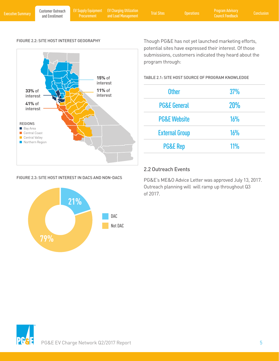Customer Outreach

Procurement

Executive Summary Program Advisory (Customer Outreach EV Supply Equipment EV Charging Utilization Trial Sites o<br>Executive Summary and Enrollment Procurement and Load Management Trial Sites Operations Council Feedback Concl EV Charging Utilization and Load Management Trial Sites Operations Program Advisory

#### FIGURE 2.2: SITE HOST INTEREST GEOGRAPHY



#### FIGURE 2.3: SITE HOST INTEREST IN DACS AND NON-DACS



Though PG&E has not yet launched marketing efforts, potential sites have expressed their interest. Of those submissions, customers indicated they heard about the program through:

TABLE 2.1: SITE HOST SOURCE OF PROGRAM KNOWLEDGE

| <b>Other</b>            | 37% |
|-------------------------|-----|
| <b>PG&amp;E General</b> | 20% |
| <b>PG&amp;E Website</b> | 16% |
| <b>External Group</b>   | 16% |
| <b>PG&amp;E Rep</b>     | 11% |

#### 2.2 Outreach Events

PG&E's ME&O Advice Letter was approved July 13, 2017. Outreach planning will will ramp up throughout Q3 of 2017.

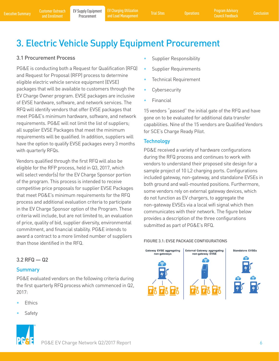Executive Summary Customer Outreach EV Supply Equipment EV Charging Utilization Trial Sites Operations Program Advisory Conclusion<br>Executive Summary and Enrollment Procurement and Load Management Trial Sites Operations Cou EV Charging Utilization and Load Management Trial Sites Operations Program Advisory

## 3. Electric Vehicle Supply Equipment Procurement

## 3.1 Procurement Process

PG&E is conducting both a Request for Qualification (RFQ) and Request for Proposal (RFP) process to determine eligible electric vehicle service equipment (EVSE) packages that will be available to customers through the EV Charge Owner program. EVSE packages are inclusive of EVSE hardware, software, and network services. The RFQ will identify vendors that offer EVSE packages that meet PG&E's minimum hardware, software, and network requirements. PG&E will not limit the list of suppliers; all supplier EVSE Packages that meet the minimum requirements will be qualified. In addition, suppliers will have the option to qualify EVSE packages every 3 months with quarterly RFQs.

Vendors qualified through the first RFQ will also be eligible for the RFP process, held in Q3, 2017, which will select vendor(s) for the EV Charge Sponsor portion of the program. This process is intended to receive competitive price proposals for supplier EVSE Packages that meet PG&E's minimum requirements for the RFQ process and additional evaluation criteria to participate in the EV Charge Sponsor option of the Program. These criteria will include, but are not limited to, an evaluation of price, quality of bid, supplier diversity, environmental commitment, and financial stability. PG&E intends to award a contract to a more limited number of suppliers than those identified in the RFQ.

## 3.2 RFQ — Q2

#### Summary

PG&E evaluated vendors on the following criteria during the first quarterly RFQ process which commenced in Q2, 2017:

- **Ethics**
- **Safety**



- Supplier Requirements
- Technical Requirement
- **Cybersecurity**
- **Financial**

15 vendors "passed" the initial gate of the RFQ and have gone on to be evaluated for additional data transfer capabilities. Nine of the 15 vendors are Qualified Vendors for SCE's Charge Ready Pilot.

#### **Technology**

PG&E received a variety of hardware configurations during the RFQ process and continues to work with vendors to understand their proposed site design for a sample project of 10 L2 charging ports. Configurations included gateway, non-gateway, and standalone EVSEs in both ground and wall-mounted positions. Furthermore, some vendors rely on external gateway devices, which do not function as EV chargers, to aggregate the non-gateway EVSEs via a local wifi signal which then communicates with their network. The figure below provides a description of the three configurations submitted as part of PG&E's RFQ.

#### FIGURE 3.1: EVSE PACKAGE CONFIGURATIONS



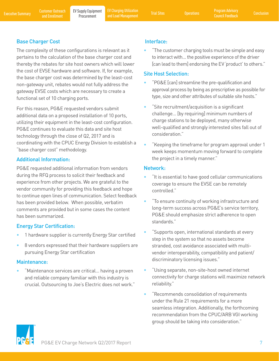Executive Summary Customer Outreach EV Supply Equipment EV Charging Utilization Trial Sites Operations Program Advisory Conclusion<br>Executive Summary and Enrollment Procurement and Load Management Trial Sites Operations Cou EV Charging Utilization and Load Management Trial Sites Operations Program Advisory

## Base Charger Cost

The complexity of these configurations is relevant as it pertains to the calculation of the base charger cost and thereby the rebates for site host owners which will lower the cost of EVSE hardware and software. If, for example, the base charger cost was determined by the least-cost non-gateway unit, rebates would not fully address the gateway EVSE costs which are necessary to create a functional set of 10 charging ports.

For this reason, PG&E requested vendors submit additional data on a proposed installation of 10 ports, utilizing their equipment in the least-cost configuration. PG&E continues to evaluate this data and site host technology through the close of Q2, 2017 and is coordinating with the CPUC Energy Division to establish a "base charger cost" methodology.

## Additional Information:

PG&E requested additional information from vendors during the RFQ process to solicit their feedback and experience from other projects. We are grateful to the vendor community for providing this feedback and hope to continue open lines of communication. Select feedback has been provided below. When possible, verbatim comments are provided but in some cases the content has been summarized.

## Energy Star Certification:

- 1 hardware supplier is currently Energy Star certified
- 8 vendors expressed that their hardware suppliers are pursuing Energy Star certification

## Maintenance:

• "Maintenance services are critical… having a proven and reliable company familiar with this industry is crucial. Outsourcing to Joe's Electric does not work."

## Interface:

• "The customer charging tools must be simple and easy to interact with… the positive experience of the driver [can lead to them] endorsing the EV 'product' to others."

## Site Host Selection:

- "PG&E [can] streamline the pre-qualification and approval process by being as prescriptive as possible for type, size and other attributes of suitable site hosts."
- "Site recruitment/acquisition is a significant challenge… [by requiring] minimum numbers of charge stations to be deployed, many otherwise well-qualified and strongly interested sites fall out of consideration."
- "Keeping the timeframe for program approval under 1 week keeps momentum moving forward to complete the project in a timely manner."

## Network:

- "It is essential to have good cellular communications coverage to ensure the EVSE can be remotely controlled."
- "To ensure continuity of working infrastructure and long-term success across PG&E's service territory, PG&E should emphasize strict adherence to open standards."
- "Supports open, international standards at every step in the system so that no assets become stranded, cost avoidance associated with multivendor interoperability, compatibility and patient/ discriminatory licensing issues."
- "Using separate, non-site-host owned internet connectivity for charge stations will maximize network reliability."
- "Recommends consolidation of requirements under the Rule 21 requirements for a more seamless integration. Additionally, the forthcoming recommendation from the CPUC/ARB VGI working group should be taking into consideration."

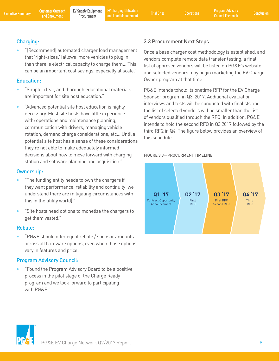Executive Summary Customer Outreach EV Supply Equipment EV Charging Utilization Trial Sites Operations Program Advisory Conclusion<br>Executive Summary and Enrollment Procurement and Load Management Trial Sites Operations Cou Procurement EV Charging Utilization

## Charging:

• "[Recommend] automated charger load management that 'right-sizes,' [allows] more vehicles to plug in than there is electrical capacity to charge them… This can be an important cost savings, especially at scale."

### Education:

- "Simple, clear, and thorough educational materials are important for site host education."
- "Advanced potential site host education is highly necessary. Most site hosts have little experience with: operations and maintenance planning, communication with drivers, managing vehicle rotation, demand charge considerations, etc... Until a potential site host has a sense of these considerations they're not able to make adequately informed decisions about how to move forward with charging station and software planning and acquisition."

### Ownership:

- "The funding entity needs to own the chargers if they want performance, reliability and continuity (we understand there are mitigating circumstances with this in the utility world)."
- "Site hosts need options to monetize the chargers to get them vested."

## Rebate:

• "PG&E should offer equal rebate / sponsor amounts across all hardware options, even when those options vary in features and price."

## Program Advisory Council:

• "Found the Program Advisory Board to be a positive process in the pilot stage of the Charge Ready program and we look forward to participating with PG&E."

## 3.3 Procurement Next Steps

Once a base charger cost methodology is established, and vendors complete remote data transfer testing, a final list of approved vendors will be listed on PG&E's website and selected vendors may begin marketing the EV Charge Owner program at that time.

PG&E intends tohold its onetime RFP for the EV Charge Sponsor program in Q3, 2017. Additional evaluation interviews and tests will be conducted with finalists and the list of selected vendors will be smaller than the list of vendors qualified through the RFQ. In addition, PG&E intends to hold the second RFQ in Q3 2017 followed by the third RFQ in Q4. The figure below provides an overview of this schedule.

#### FIGURE 3.3—PROCURMENT TIMELINE



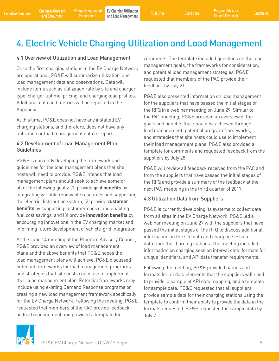## 4. Electric Vehicle Charging Utilization and Load Management

#### 4.1 Overview of Utilization and Load Management

Once the first charging stations in the EV Charge Network are operational, PG&E will summarize utilization and load management data and observations. Data will include items such as utilization rate by site and charger type, charger uptime, pricing, and charging load profiles. Additional data and metrics will be reported in the Appendix.

At this time, PG&E does not have any installed EV charging stations, and therefore, does not have any utilization or load management data to report.

### 4.2 Development of Load Management Plan **Guidelines**

PG&E is currently developing the framework and guidelines for the load management plans that site hosts will need to provide. PG&E intends that load management plans should seek to achieve some or all of the following goals: (1) provide **grid benefits** by integrating variable renewable resources and supporting the electric distribution system, (2) provide **customer benefits** by supporting customer choice and enabling fuel cost savings, and (3) provide **innovation benefits** by encouraging innovations in the EV charging market and informing future development of vehicle-grid integration.

At the June 14 meeting of the Program Advisory Council, PG&E provided an overview of load management plans and the above benefits that PG&E hopes the load management plans will achieve. PG&E discussed potential frameworks for load management programs and strategies that site hosts could use to implement their load management plan. Potential frameworks may include using existing Demand Response programs or creating a new load management framework specifically for the EV Charge Network. Following the meeting, PG&E requested that members of the PAC provide feedback on load management and provided a template for

comments. The template included questions on the load management goals, the frameworks for consideration, and potential load management strategies. PG&E requested that members of the PAC provide their feedback by July 21.

PG&E also presented information on load management for the suppliers that have passed the initial stages of the RFQ in a webinar meeting on June 29. Similar to the PAC meeting, PG&E provided an overview of the goals and benefits that should be achieved through load management, potential program frameworks, and strategies that site hosts could use to implement their load management plans. PG&E also provided a template for comments and requested feedback from the suppliers by July 28.

PG&E will review all feedback received from the PAC and from the suppliers that have passed the initial stages of the RFQ and provide a summary of the feedback at the next PAC meeteing in the third quarter of 2017.

#### 4.3 Utilization Data from Suppliers

PG&E is currently developing its systems to collect data from all sites in the EV Charge Network. PG&E led a webinar meeting on June 27 with the suppliers that have passed the initial stages of the RFQ to discuss additional information on the site data and charging session data from the charging stations. The meeting included information on charging session interval data, formats for unique identifiers, and API data transfer requirements.

Following the meeting, PG&E provided names and formats for all data elements that the suppliers will need to provide, a sample of API data mapping, and a template for sample data. PG&E requested that all suppliers provide sample data for their charging stations using the template to confirm their ability to provide the data in the formats requested. PG&E requested the sample data by July 7.

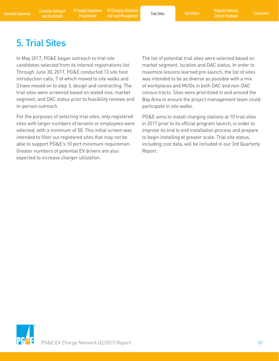Executive Summary and Enrollment EV Supply Equipment EV Charging Utilization (Executive Summary Program Advisory<br>Executive Summary and Enrollment Procurement and Load Management Trial Sites (Derations Council Feedback Conc EV Charging Utilization and Load Management Trial Sites Operations Program Advisory

## 5. Trial Sites

In May 2017, PG&E began outreach to trial site candidates selected from its interest registrations list. Through June 30, 2017, PG&E conducted 13 site host introduction calls, 7 of which moved to site walks and 3 have moved on to step 3, design and contracting. The trial sites were screened based on stated size, market segment, and DAC status prior to feasibility reviews and in-person outreach.

For the purposes of selecting trial sites, only registered sites with larger numbers of tenants or employees were selected, with a minimum of 50. This initial screen was intended to filter out registered sites that may not be able to support PG&E's 10 port minimum requiremen. Greater numbers of potential EV drivers are also expected to increase charger utilization.

The list of potential trial sites were selected based on market segment, location and DAC status. In order to maximize lessons learned pre-launch, the list of sites was intended to be as diverse as possible with a mix of workplaces and MUDs in both DAC and non-DAC census tracts. Sites were prioritized in and around the Bay Area to ensure the project management team could participate in site walks.

PG&E aims to install charging stations at 10 trial sites in 2017 prior to its official program launch, in order to improve its end to end installation process and prepare to begin installing at greater scale. Trial site status, including cost data, will be included in our 3rd Quarterly Report.

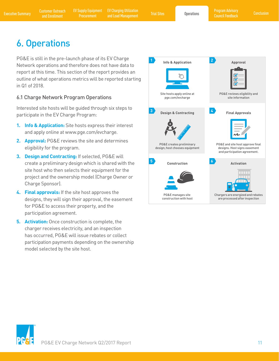Executive Summary Customer Outreach EV Supply Equipment EV Charging Utilization Trial Sites Concretions Program Advisory Conclusion<br>Executive Summary and Enrollment Procurement and Load Management Trial Sites Operations Co EV Charging Utilization EV Charging Utilization<br>
and Load Management Trial Sites Operations Council Feedback

## 6. Operations

PG&E is still in the pre-launch phase of its EV Charge Network operations and therefore does not have data to report at this time. This section of the report provides an outline of what operations metrics will be reported starting in Q1 of 2018.

## 6.1 Charge Network Program Operations

Interested site hosts will be guided through six steps to participate in the EV Charge Program:

- **1. Info & Application:** Site hosts express their interest and apply online at www.pge.com/evcharge.
- **2. Approval:** PG&E reviews the site and determines eligibility for the program.
- **3. Design and Contracting:** If selected, PG&E will create a preliminary design which is shared with the site host who then selects their equipment for the project and the ownership model (Charge Owner or Charge Sponsor).
- **4. Final approvals:** If the site host approves the designs, they will sign their approval, the easement for PG&E to access their property, and the participation agreement.
- **5. Activation:** Once construction is complete, the charger receives electricity, and an inspection has occurred, PG&E will issue rebates or collect participation payments depending on the ownership model selected by the site host.



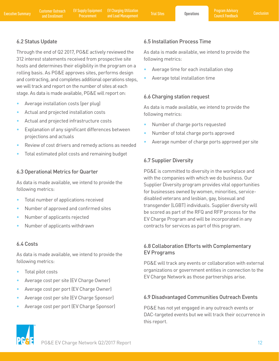## 6.2 Status Update

Through the end of Q2 2017, PG&E actively reviewed the 312 interest statements received from prospective site hosts and determines their eligibility in the program on a rolling basis. As PG&E approves sites, performs design and contracting, and completes additional operations steps, we will track and report on the number of sites at each stage. As data is made available, PG&E will report on:

- Average installation costs (per plug)
- Actual and projected installation costs
- Actual and projected infrastructure costs
- Explanation of any significant differences between projections and actuals
- Review of cost drivers and remedy actions as needed
- Total estimated pilot costs and remaining budget

### 6.3 Operational Metrics for Quarter

As data is made available, we intend to provide the following metrics:

- Total number of applications received
- Number of approved and confirmed sites
- Number of applicants rejected
- Number of applicants withdrawn

## 6.4 Costs

As data is made available, we intend to provide the following metrics:

- Total pilot costs
- Average cost per site (EV Charge Owner)
- Average cost per port (EV Charge Owner)
- Average cost per site (EV Charge Sponsor)
- Average cost per port (EV Charge Sponsor)

## 6.5 Installation Process Time

As data is made available, we intend to provide the following metrics:

- Average time for each installation step
- Average total installation time

### 6.6 Charging station request

As data is made available, we intend to provide the following metrics:

- Number of charge ports requested
- Number of total charge ports approved
- Average number of charge ports approved per site

## 6.7 Supplier Diversity

PG&E is committed to diversity in the workplace and with the companies with which we do business. Our Supplier Diversity program provides vital opportunities for businesses owned by women, minorities, servicedisabled veterans and lesbian, gay, bisexual and transgender (LGBT) individuals. Supplier diversity will be scored as part of the RFQ and RFP process for the EV Charge Program and will be incorporated in any contracts for services as part of this program.

## 6.8 Collaboration Efforts with Complementary EV Programs

PG&E will track any events or collaboration with external organizations or government entities in connection to the EV Charge Network as those partnerships arise.

## 6.9 Disadvantaged Communities Outreach Events

PG&E has not yet engaged in any outreach events or DAC-targeted events but we will track their occurrence in this report.

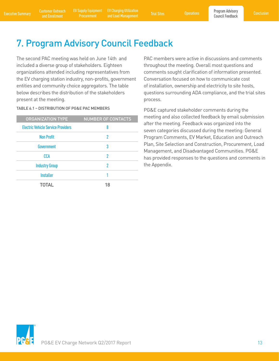Procurement

Executive Summary Customer Outreach EV Supply Equipment EV Charging Utilization Trial Sites of Operations Program Advisory Conclusion<br>Executive Summary and Enrollment Procurement and Load Management Trial Sites Operations EV Charging Utilization EV Charging Utilization<br>
and Load Management Trial Sites Council Feedback<br>
Council Feedback

## 7. Program Advisory Council Feedback

The second PAC meeting was held on June 14th and included a diverse group of stakeholders. Eighteen organizations attended including representatives from the EV charging station industry, non-profits, government entities and community choice aggregators. The table below describes the distribution of the stakeholders present at the meeting.

#### TABLE 6.1 – DISTRIBUTION OF PG&E PAC MEMBERS

| <b>ORGANIZATION TYPE</b>                  | <b>NUMBER OF CONTACTS</b> |
|-------------------------------------------|---------------------------|
| <b>Electric Vehicle Service Providers</b> | 8                         |
| <b>Non Profit</b>                         | 2                         |
| Government                                | 3                         |
| CCA                                       | 2                         |
| <b>Industry Group</b>                     | 2                         |
| <b>Installer</b>                          |                           |
| <b>TOTAL</b>                              | 18                        |
|                                           |                           |

PAC members were active in discussions and comments throughout the meeting. Overall most questions and comments sought clarification of information presented. Conversation focused on how to communicate cost of installation, ownership and electricity to site hosts, questions surrounding ADA compliance, and the trial sites process.

PG&E captured stakeholder comments during the meeting and also collected feedback by email submission after the meeting. Feedback was organized into the seven categories discussed during the meeting: General Program Comments, EV Market, Education and Outreach Plan, Site Selection and Construction, Procurement, Load Management, and Disadvantaged Communities. PG&E has provided responses to the questions and comments in the Appendix.

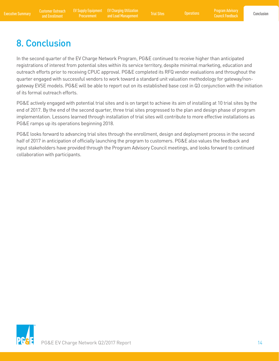Council Feedback

## 8. Conclusion

In the second quarter of the EV Charge Network Program, PG&E continued to receive higher than anticipated registrations of interest from potential sites within its service territory, despite minimal marketing, education and outreach efforts prior to receiving CPUC approval. PG&E completed its RFQ vendor evaluations and throughout the quarter engaged with successful vendors to work toward a standard unit valuation methodology for gateway/nongateway EVSE models. PG&E will be able to report out on its established base cost in Q3 conjunction with the initiation of its formal outreach efforts.

PG&E actively engaged with potential trial sites and is on target to achieve its aim of installing at 10 trial sites by the end of 2017. By the end of the second quarter, three trial sites progressed to the plan and design phase of program implementation. Lessons learned through installation of trial sites will contribute to more effective installations as PG&E ramps up its operations beginning 2018.

PG&E looks forward to advancing trial sites through the enrollment, design and deployment process in the second half of 2017 in anticipation of officially launching the program to customers. PG&E also values the feedback and input stakeholders have provided through the Program Advisory Council meetings, and looks forward to continued collaboration with participants.

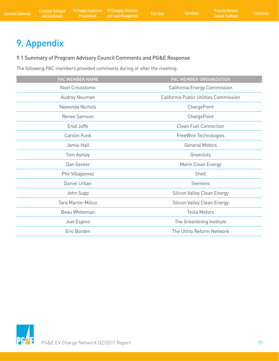## 9. Appendix

### 9.1 Summary of Program Advisory Council Comments and PG&E Response

The following PAC members provided comments during or after the meeting:

| PAC MEMBER NAME           | PAC MEMBER ORGANIZATION                |
|---------------------------|----------------------------------------|
| Noel Crisostomo           | California Energy Commission           |
| Audrey Neuman             | California Public Utilities Commission |
| Newonda Nichols           | ChargePoint                            |
| Renee Samson              | ChargePoint                            |
| Enid Joffe                | <b>Clean Fuel Connection</b>           |
| Carolin Funk              | FreeWire Technologies                  |
| Jamie Hall                | <b>General Motors</b>                  |
| Tom Ashley                | Greenlots                              |
| Dan Genter                | Marin Clean Energy                     |
| Phil Villagomez           | Shell                                  |
| Daniel Urban              | Siemens                                |
| John Supp                 | <b>Silicon Valley Clean Energy</b>     |
| <b>Tara Martin-Milius</b> | Silicon Valley Clean Energy            |
| Beau Whiteman             | <b>Tesla Motors</b>                    |
| Joel Espino               | The Greenlining Institute              |
| Eric Borden               | The Utility Reform Network             |
|                           |                                        |

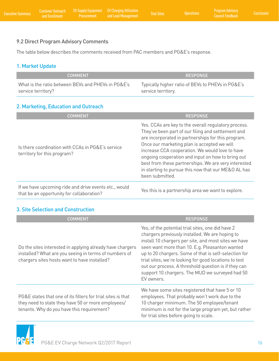## 9.2 Direct Program Advisory Comments

The table below describes the comments received from PAC members and PG&E's response.

## 1. Market Update

| <b>COMMENT</b>                                     | <b>RESPONSE</b>                                   |
|----------------------------------------------------|---------------------------------------------------|
| What is the ratio between BEVs and PHEVs in PG&E's | Typically higher ratio of BEVs to PHEVs in PG&E's |
| service territory?                                 | service territory.                                |

## 2. Marketing, Education and Outreach

| <b>COMMENT</b>                                                                                     | <b>RESPONSE</b>                                                                                                                                                                                                                                                                                                                                                                                                                                           |
|----------------------------------------------------------------------------------------------------|-----------------------------------------------------------------------------------------------------------------------------------------------------------------------------------------------------------------------------------------------------------------------------------------------------------------------------------------------------------------------------------------------------------------------------------------------------------|
| Is there coordination with CCAs in PG&E's service<br>territory for this program?                   | Yes. CCAs are key to the overall regulatory process.<br>They've been part of our filing and settlement and<br>are incorporated in partnerships for this program.<br>Once our marketing plan is accepted we will<br>increase CCA cooperation. We would love to have<br>ongoing cooperation and input on how to bring out<br>best from these partnerships. We are very interested<br>in starting to pursue this now that our ME&O AL has<br>been submitted. |
| If we have upcoming ride and drive events etc., would<br>that be an opportunity for collaboration? | Yes this is a partnership area we want to explore.                                                                                                                                                                                                                                                                                                                                                                                                        |

## 3. Site Selection and Construction

| <b>COMMENT</b>                                                                                                                                                     | <b>RESPONSE</b>                                                                                                                                                                                                                                                                                                                                                                                                                                           |
|--------------------------------------------------------------------------------------------------------------------------------------------------------------------|-----------------------------------------------------------------------------------------------------------------------------------------------------------------------------------------------------------------------------------------------------------------------------------------------------------------------------------------------------------------------------------------------------------------------------------------------------------|
| Do the sites interested in applying already have chargers<br>installed? What are you seeing in terms of numbers of<br>chargers sites hosts want to have installed? | Yes, of the potential trial sites, one did have 2<br>chargers previously installed. We are hoping to<br>install 10 chargers per site, and most sites we have<br>seen want more than 10. E.g. Pleasanton wanted<br>up to 20 chargers. Some of that is self-selection for<br>trial sites; we're looking for good locations to test<br>out our process. A threshold question is if they can<br>support 10 chargers. The MUD we surveyed had 50<br>EV owners. |
| PG&E states that one of its filters for trial sites is that<br>they need to state they have 50 or more employees/<br>tenants. Why do you have this requirement?    | We have some sites registered that have 5 or 10<br>employees. That probably won't work due to the<br>10 charger minimum. The 50 employee/tenant<br>minimum is not for the large program yet, but rather<br>for trial sites before going to scale.                                                                                                                                                                                                         |

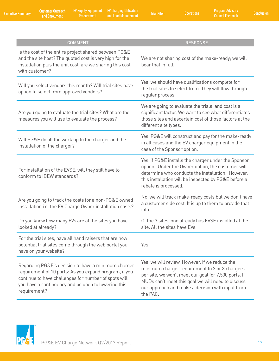Customer Outreach

and Enrollment Executive Summary Conclusion EV Supply Equipment EV Charging Utilization and Load Management Trial Sites Operations Program Advisory EV Supply Equipment<br>Procurement

| <b>COMMENT</b>                                                                                                                                                                                                                               | <b>RESPONSE</b>                                                                                                                                                                                                                                                               |
|----------------------------------------------------------------------------------------------------------------------------------------------------------------------------------------------------------------------------------------------|-------------------------------------------------------------------------------------------------------------------------------------------------------------------------------------------------------------------------------------------------------------------------------|
| Is the cost of the entire project shared between PG&E<br>and the site host? The quoted cost is very high for the<br>installation plus the unit cost, are we sharing this cost<br>with customer?                                              | We are not sharing cost of the make-ready; we will<br>bear that in full.                                                                                                                                                                                                      |
| Will you select vendors this month? Will trial sites have<br>option to select from approved vendors?                                                                                                                                         | Yes, we should have qualifications complete for<br>the trial sites to select from. They will flow through<br>regular process.                                                                                                                                                 |
| Are you going to evaluate the trial sites? What are the<br>measures you will use to evaluate the process?                                                                                                                                    | We are going to evaluate the trials, and cost is a<br>significant factor. We want to see what differentiates<br>those sites and ascertain cost of those factors at the<br>different site types.                                                                               |
| Will PG&E do all the work up to the charger and the<br>installation of the charger?                                                                                                                                                          | Yes, PG&E will construct and pay for the make-ready<br>in all cases and the EV charger equipment in the<br>case of the Sponsor option.                                                                                                                                        |
| For installation of the EVSE, will they still have to<br>conform to IBEW standards?                                                                                                                                                          | Yes, if PG&E installs the charger under the Sponsor<br>option. Under the Owner option, the customer will<br>determine who conducts the installation. However,<br>this installation will be inspected by PG&E before a<br>rebate is processed.                                 |
| Are you going to track the costs for a non-PG&E owned<br>installation i.e. the EV Charge Owner installation costs?                                                                                                                           | No, we will track make-ready costs but we don't have<br>a customer side cost. It is up to them to provide that<br>info.                                                                                                                                                       |
| Do you know how many EVs are at the sites you have<br>looked at already?                                                                                                                                                                     | Of the 3 sites, one already has EVSE installed at the<br>site. All the sites have EVs.                                                                                                                                                                                        |
| For the trial sites, have all hand raisers that are now<br>potential trial sites come through the web portal you<br>have on your website?                                                                                                    | Yes.                                                                                                                                                                                                                                                                          |
| Regarding PG&E's decision to have a minimum charger<br>requirement of 10 ports: As you expand program, if you<br>continue to have challenges for number of spots will<br>you have a contingency and be open to lowering this<br>requirement? | Yes, we will review. However, if we reduce the<br>minimum charger requirement to 2 or 3 chargers<br>per site, we won't meet our goal for 7,500 ports. If<br>MUDs can't meet this goal we will need to discuss<br>our approach and make a decision with input from<br>the PAC. |

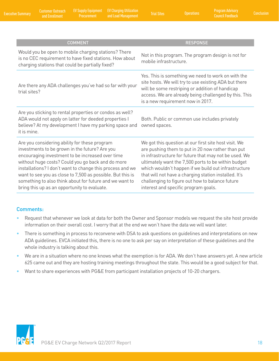and Enrollment Executive Summary Conclusion EV Supply Equipment EV Charging Utilization and Load Management Trial Sites Operations Program Advisory

| Conclusion |  |  |
|------------|--|--|
|            |  |  |

| <b>COMMENT</b>                                                                                                                                                                                                                                                                                                                                                                                                                                 | <b>RESPONSE</b>                                                                                                                                                                                                                                                                                                                                                                                                                        |
|------------------------------------------------------------------------------------------------------------------------------------------------------------------------------------------------------------------------------------------------------------------------------------------------------------------------------------------------------------------------------------------------------------------------------------------------|----------------------------------------------------------------------------------------------------------------------------------------------------------------------------------------------------------------------------------------------------------------------------------------------------------------------------------------------------------------------------------------------------------------------------------------|
| Would you be open to mobile charging stations? There<br>is no CEC requirement to have fixed stations. How about<br>charging stations that could be partially fixed?                                                                                                                                                                                                                                                                            | Not in this program. The program design is not for<br>mobile infrastructure.                                                                                                                                                                                                                                                                                                                                                           |
| Are there any ADA challenges you've had so far with your<br>trial sites?                                                                                                                                                                                                                                                                                                                                                                       | Yes. This is something we need to work on with the<br>site hosts. We will try to use existing ADA but there<br>will be some restriping or addition of handicap<br>access. We are already being challenged by this. This<br>is a new requirement now in 2017.                                                                                                                                                                           |
| Are you sticking to rental properties or condos as well?<br>ADA would not apply on latter for deeded properties I<br>believe? At my development I have my parking space and<br>it is mine.                                                                                                                                                                                                                                                     | Both. Public or common use includes privately<br>owned spaces.                                                                                                                                                                                                                                                                                                                                                                         |
| Are you considering ability for these program<br>investments to be grown in the future? Are you<br>encouraging investment to be increased over time<br>without huge costs? Could you go back and do more<br>installations? I don't want to change this process and we<br>want to see you as close to 7,500 as possible. But this is<br>something to also think about for future and we want to<br>bring this up as an opportunity to evaluate. | We got this question at our first site host visit. We<br>are pushing them to put in 20 now rather than put<br>in infrastructure for future that may not be used. We<br>ultimately want the 7,500 ports to be within budget<br>which wouldn't happen if we build out infrastructure<br>that will not have a charging station installed. It's<br>challenging to figure out how to balance future<br>interest and specific program goals. |

#### Comments:

- Request that whenever we look at data for both the Owner and Sponsor models we request the site host provide information on their overall cost. I worry that at the end we won't have the data we will want later.
- There is something in process to reconvene with DSA to ask questions on guidelines and interpretations on new ADA guidelines. EVCA initiated this, there is no one to ask per say on interpretation of these guidelines and the whole industry is talking about this.
- We are in a situation where no one knows what the exemption is for ADA. We don't have answers yet. A new article 625 came out and they are hosting training meetings throughout the state. This would be a good subject for that.
- Want to share experiences with PG&E from participant installation projects of 10-20 chargers.

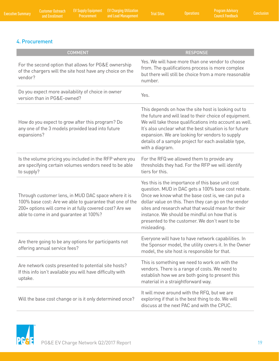## 4. Procurement

| <b>COMMENT</b>                                                                                                                                                                                                       | <b>RESPONSE</b>                                                                                                                                                                                                                                                                                                                                                                            |
|----------------------------------------------------------------------------------------------------------------------------------------------------------------------------------------------------------------------|--------------------------------------------------------------------------------------------------------------------------------------------------------------------------------------------------------------------------------------------------------------------------------------------------------------------------------------------------------------------------------------------|
| For the second option that allows for PG&E ownership<br>of the chargers will the site host have any choice on the<br>vendor?                                                                                         | Yes. We will have more than one vendor to choose<br>from. The qualifications process is more complex<br>but there will still be choice from a more reasonable<br>number.                                                                                                                                                                                                                   |
| Do you expect more availability of choice in owner<br>version than in PG&E-owned?                                                                                                                                    | Yes.                                                                                                                                                                                                                                                                                                                                                                                       |
| How do you expect to grow after this program? Do<br>any one of the 3 models provided lead into future<br>expansions?                                                                                                 | This depends on how the site host is looking out to<br>the future and will lead to their choice of equipment.<br>We will take those qualifications into account as well.<br>It's also unclear what the best situation is for future<br>expansion. We are looking for vendors to supply<br>details of a sample project for each available type,<br>with a diagram.                          |
| Is the volume pricing you included in the RFP where you<br>are specifying certain volumes vendors need to be able<br>to supply?                                                                                      | For the RFQ we allowed them to provide any<br>thresholds they had. For the RFP we will identify<br>tiers for this.                                                                                                                                                                                                                                                                         |
| Through customer lens, in MUD DAC space where it is<br>100% base cost: Are we able to guarantee that one of the<br>200+ options will come in at fully covered cost? Are we<br>able to come in and guarantee at 100%? | Yes this is the importance of this base unit cost<br>question. MUD in DAC gets a 100% base cost rebate.<br>Once we know what the base cost is, we can put a<br>dollar value on this. Then they can go on the vendor<br>sites and research what that would mean for their<br>instance. We should be mindful on how that is<br>presented to the customer. We don't want to be<br>misleading. |
| Are there going to be any options for participants not<br>offering annual service fees?                                                                                                                              | Everyone will have to have network capabilities. In<br>the Sponsor model, the utility covers it. In the Owner<br>model, the site host is responsible for that.                                                                                                                                                                                                                             |
| Are network costs presented to potential site hosts?<br>If this info isn't available you will have difficulty with<br>uptake.                                                                                        | This is something we need to work on with the<br>vendors. There is a range of costs. We need to<br>establish how we are both going to present this<br>material in a straightforward way.                                                                                                                                                                                                   |
| Will the base cost change or is it only determined once?                                                                                                                                                             | It will move around with the RFQ, but we are<br>exploring if that is the best thing to do. We will<br>discuss at the next PAC and with the CPUC.                                                                                                                                                                                                                                           |

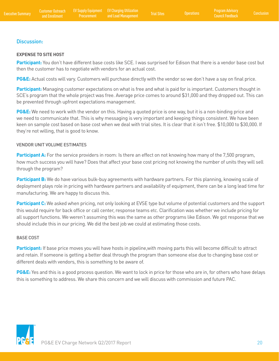#### Discussion:

#### **EXPENSE TO SITE HOST**

**Participant:** You don't have different base costs like SCE. I was surprised for Edison that there is a vendor base cost but then the customer has to negotiate with vendors for an actual cost.

**PG&E:** Actual costs will vary. Customers will purchase directly with the vendor so we don't have a say on final price.

**Participant:** Managing customer expectations on what is free and what is paid for is important. Customers thought in SCE's program that the whole project was free. Average price comes to around \$31,000 and they dropped out. This can be prevented through upfront expectations management.

**PG&E:** We need to work with the vendor on this. Having a quoted price is one way, but it is a non-binding price and we need to communicate that. This is why messaging is very important and keeping things consistent. We have been keen on sample cost based on base cost when we deal with trial sites. It is clear that it isn't free. \$10,000 to \$30,000. If they're not willing, that is good to know.

#### VENDOR UNIT VOLUME ESTIMATES

**Participant A:** For the service providers in room: Is there an effect on not knowing how many of the 7,500 program, how much success you will have? Does that affect your base cost pricing not knowing the number of units they will sell through the program?

**Participant B:** We do have various bulk-buy agreements with hardware partners. For this planning, knowing scale of deployment plays role in pricing with hardware partners and availability of equipment, there can be a long lead time for manufacturing. We are happy to discuss this.

**Participant C:** We asked when pricing, not only looking at EVSE type but volume of potential customers and the support this would require for back office or call center, response teams etc. Clarification was whether we include pricing for all support functions. We weren't assuming this was the same as other programs like Edison. We got response that we should include this in our pricing. We did the best job we could at estimating those costs.

#### BASE COST

Participant: If base price moves you will have hosts in pipeline, with moving parts this will become difficult to attract and retain. If someone is getting a better deal through the program than someone else due to changing base cost or different deals with vendors, this is something to be aware of.

**PG&E:** Yes and this is a good process question. We want to lock in price for those who are in, for others who have delays this is something to address. We share this concern and we will discuss with commission and future PAC.

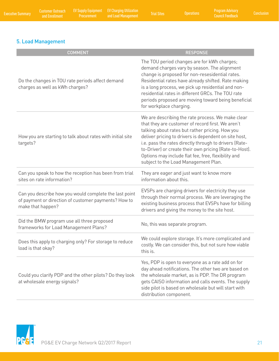## 5. Load Management

| <b>COMMENT</b>                                                                                                                      | <b>RESPONSE</b>                                                                                                                                                                                                                                                                                                                                                                                                                       |
|-------------------------------------------------------------------------------------------------------------------------------------|---------------------------------------------------------------------------------------------------------------------------------------------------------------------------------------------------------------------------------------------------------------------------------------------------------------------------------------------------------------------------------------------------------------------------------------|
| Do the changes in TOU rate periods affect demand<br>charges as well as kWh charges?                                                 | The TOU period changes are for kWh charges;<br>demand charges vary by season. The alignment<br>change is proposed for non-resesidential rates.<br>Residential rates have already shifted. Rate making<br>is a long process, we pick up residential and non-<br>residential rates in different GRCs. The TOU rate<br>periods proposed are moving toward being beneficial<br>for workplace charging.                                    |
| How you are starting to talk about rates with initial site<br>targets?                                                              | We are describing the rate process. We make clear<br>that they are customer of record first. We aren't<br>talking about rates but rather pricing. How you<br>deliver pricing to drivers is dependent on site host,<br>i.e. pass the rates directly through to drivers (Rate-<br>to-Driver) or create their own pricing (Rate-to-Host).<br>Options may include flat fee, free, flexibility and<br>subject to the Load Management Plan. |
| Can you speak to how the reception has been from trial<br>sites on rate information?                                                | They are eager and just want to know more<br>information about this.                                                                                                                                                                                                                                                                                                                                                                  |
| Can you describe how you would complete the last point<br>of payment or direction of customer payments? How to<br>make that happen? | EVSPs are charging drivers for electricity they use<br>through their normal process. We are leveraging the<br>existing business process that EVSPs have for billing<br>drivers and giving the money to the site host.                                                                                                                                                                                                                 |
| Did the BMW program use all three proposed<br>frameworks for Load Management Plans?                                                 | No, this was separate program.                                                                                                                                                                                                                                                                                                                                                                                                        |
| Does this apply to charging only? For storage to reduce<br>load is that okay?                                                       | We could explore storage. It's more complicated and<br>costly. We can consider this, but not sure how viable<br>this is.                                                                                                                                                                                                                                                                                                              |
| Could you clarify PDP and the other pilots? Do they look<br>at wholesale energy signals?                                            | Yes, PDP is open to everyone as a rate add on for<br>day ahead notifications. The other two are based on<br>the wholesale market, as is PDP. The DR program<br>gets CAISO information and calls events. The supply<br>side pilot is based on wholesale but will start with<br>distribution component.                                                                                                                                 |

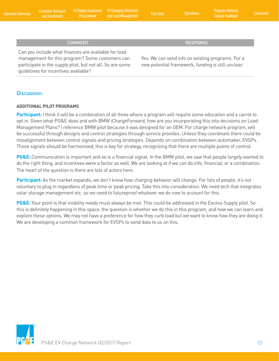| <b>Executive Summary</b> | <b>Example 2018 Contract 2019</b> | Customer Outreach EV Supply Equipment EV Charging Utilization<br><b>Procurement and Load Management</b> | <b>Trial Sites</b> | <b>Operations</b> | <b>Program Advisory</b><br>Council Feedback | Conclusion |
|--------------------------|-----------------------------------|---------------------------------------------------------------------------------------------------------|--------------------|-------------------|---------------------------------------------|------------|
|                          |                                   |                                                                                                         |                    |                   |                                             |            |

#### COMMENT COMMENT COMMENT COMMENT COMMENT

Can you include what finances are available for load management for this program? Some customers can participate in the supply pilot, but not all. So are some guidelines for incentives available?

Yes. We can send info on existing programs. For a new potential framework, funding is still unclear.

### Discussion:

#### **ADDITIONAL PILOT PROGRAMS**

**Participant:** I think it will be a combination of all three where a program will require some education and a carrot to opt in. Given what PG&E does and with BMW iChargeForward, how are you incorporating this into decisions on Load Management Plans? I reference BMW pilot because it was designed for an OEM. For charge network program, will be successful through designs and control strategies through service provides. Unless they coordinate there could be misalignment between control signals and pricing strategies. Depends on combination between automaker, EVSPs. Those signals should be harmonized, this is key for strategy, recognizing that there are multiple points of control.

**PG&E:** Communication is important and so is a financial signal. In the BMW pilot, we saw that people largely wanted to do the right thing, and incentives were a factor as well. We are looking at if we can do info, financial, or a combination. The heart of the question is there are lots of actors here.

Participant: As the market expands, we don't know how charging behavior will change. For lots of people, it's not voluntary to plug in regardless of peak time or peak pricing. Take this into consideration. We need tech that integrates solar storage management etc. so we need to futureproof whatever we do now to account for this.

**PG&E:** Your point is that mobility needs must always be met. This could be addressed in the Excess Supply pilot. So this is definitely happening in this space, the question is whether we do this in this program, and how we can learn and explore these options. We may not have a preference for how they curb load but we want to know how they are doing it. We are developing a common framework for EVSPs to send data to us on this.

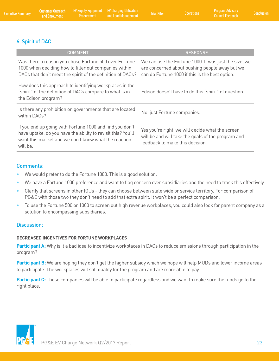## 6. Spirit of DAC

| <b>COMMENT</b>                                                                                                                                                                               | <b>RESPONSE</b>                                                                                                                                            |
|----------------------------------------------------------------------------------------------------------------------------------------------------------------------------------------------|------------------------------------------------------------------------------------------------------------------------------------------------------------|
| Was there a reason you chose Fortune 500 over Fortune<br>1000 when deciding how to filter out companies within<br>DACs that don't meet the spirit of the definition of DACs?                 | We can use the Fortune 1000. It was just the size, we<br>are concerned about pushing people away but we<br>can do Fortune 1000 if this is the best option. |
| How does this approach to identifying workplaces in the<br>"spirit" of the definition of DACs compare to what is in<br>the Edison program?                                                   | Edison doesn't have to do this "spirit" of question.                                                                                                       |
| Is there any prohibition on governments that are located<br>within DACs?                                                                                                                     | No, just Fortune companies.                                                                                                                                |
| If you end up going with Fortune 1000 and find you don't<br>have uptake, do you have the ability to revisit this? You'll<br>want this market and we don't know what the reaction<br>will be. | Yes you're right, we will decide what the screen<br>will be and will take the goals of the program and<br>feedback to make this decision.                  |

#### Comments:

- We would prefer to do the Fortune 1000. This is a good solution.
- We have a Fortune 1000 preference and want to flag concern over subsidiaries and the need to track this effectively.
- Clarify that screens in other IOUs they can choose between state wide or service territory. For comparison of PG&E with those two they don't need to add that extra spirit. It won't be a perfect comparison.
- To use the Fortune 500 or 1000 to screen out high revenue workplaces, you could also look for parent company as a solution to encompassing subsidiaries.

#### Discussion:

#### **DECREASED INCENTIVES FOR FORTUNE WORKPLACES**

Participant A: Why is it a bad idea to incentivize workplaces in DACs to reduce emissions through participation in the program?

Participant B: We are hoping they don't get the higher subsidy which we hope will help MUDs and lower income areas to participate. The workplaces will still qualify for the program and are more able to pay.

Participant C: These companies will be able to participate regardless and we want to make sure the funds go to the right place.